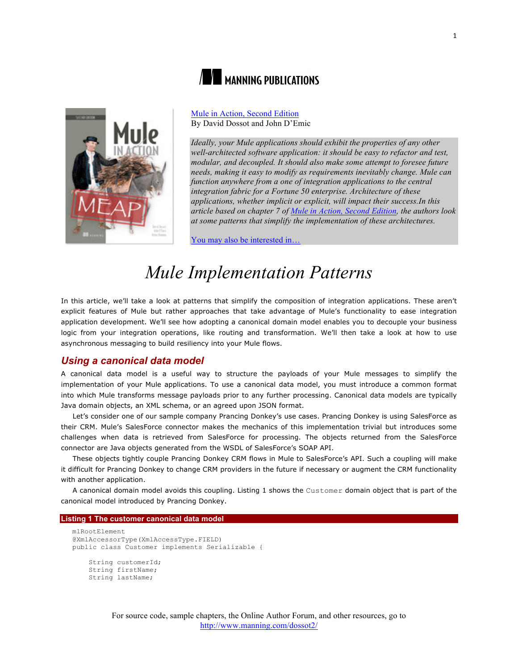

# **NEW MANNING PUBLICATIONS**

Mule in Action, Second Edition By David Dossot and John D'Emic

*Ideally, your Mule applications should exhibit the properties of any other well-architected software application: it should be easy to refactor and test, modular, and decoupled. It should also make some attempt to foresee future needs, making it easy to modify as requirements inevitably change. Mule can function anywhere from a one of integration applications to the central integration fabric for a Fortune 50 enterprise. Architecture of these applications, whether implicit or explicit, will impact their success.In this article based on chapter 7 of Mule in Action, Second Edition, the authors look at some patterns that simplify the implementation of these architectures.*

You may also be interested in…

# *Mule Implementation Patterns*

In this article, we'll take a look at patterns that simplify the composition of integration applications. These aren't explicit features of Mule but rather approaches that take advantage of Mule's functionality to ease integration application development. We'll see how adopting a canonical domain model enables you to decouple your business logic from your integration operations, like routing and transformation. We'll then take a look at how to use asynchronous messaging to build resiliency into your Mule flows.

## *Using a canonical data model*

A canonical data model is a useful way to structure the payloads of your Mule messages to simplify the implementation of your Mule applications. To use a canonical data model, you must introduce a common format into which Mule transforms message payloads prior to any further processing. Canonical data models are typically Java domain objects, an XML schema, or an agreed upon JSON format.

Let's consider one of our sample company Prancing Donkey's use cases. Prancing Donkey is using SalesForce as their CRM. Mule's SalesForce connector makes the mechanics of this implementation trivial but introduces some challenges when data is retrieved from SalesForce for processing. The objects returned from the SalesForce connector are Java objects generated from the WSDL of SalesForce's SOAP API.

These objects tightly couple Prancing Donkey CRM flows in Mule to SalesForce's API. Such a coupling will make it difficult for Prancing Donkey to change CRM providers in the future if necessary or augment the CRM functionality with another application.

A canonical domain model avoids this coupling. Listing 1 shows the Customer domain object that is part of the canonical model introduced by Prancing Donkey.

### **Listing 1 The customer canonical data model**

```
mlRootElement
@XmlAccessorType(XmlAccessType.FIELD)
public class Customer implements Serializable {
     String customerId;
     String firstName;
     String lastName;
```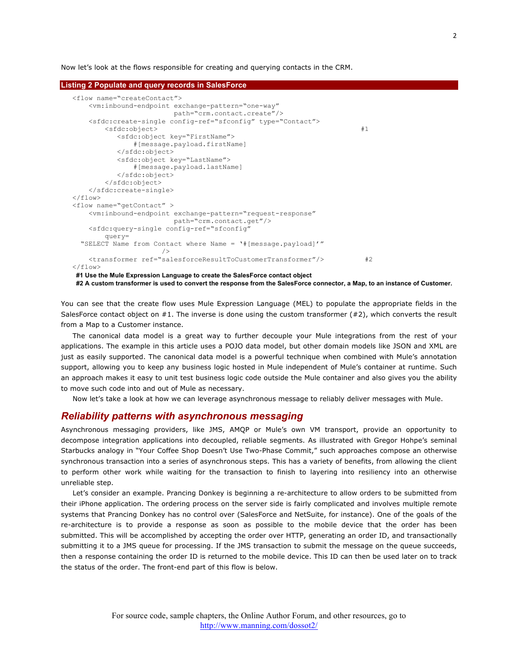Now let's look at the flows responsible for creating and querying contacts in the CRM.

```
Listing 2 Populate and query records in SalesForce
   <flow name="createContact">
       <vm:inbound-endpoint exchange-pattern="one-way"
                           path="crm.contact.create"/>
       <sfdc:create-single config-ref="sfconfig" type="Contact"> 
          <sfdc:object> #1
              <sfdc:object key="FirstName">
                  #[message.payload.firstName]
              </sfdc:object>
              <sfdc:object key="LastName">
                  #[message.payload.lastName]
              </sfdc:object>
           </sfdc:object>
       </sfdc:create-single>
   \langle/flow>
   <flow name="getContact" >
       <vm:inbound-endpoint exchange-pattern="request-response"
                           path="crm.contact.get"/>
       <sfdc:query-single config-ref="sfconfig"
           query=
     "SELECT Name from Contact where Name = '#[message.payload]'"
    />
       <transformer ref="salesforceResultToCustomerTransformer"/> #2
   \langle / flow>
   #1 Use the Mule Expression Language to create the SalesForce contact object
```
**#2 A custom transformer is used to convert the response from the SalesForce connector, a Map, to an instance of Customer.**

You can see that the create flow uses Mule Expression Language (MEL) to populate the appropriate fields in the SalesForce contact object on #1. The inverse is done using the custom transformer (#2), which converts the result from a Map to a Customer instance.

The canonical data model is a great way to further decouple your Mule integrations from the rest of your applications. The example in this article uses a POJO data model, but other domain models like JSON and XML are just as easily supported. The canonical data model is a powerful technique when combined with Mule's annotation support, allowing you to keep any business logic hosted in Mule independent of Mule's container at runtime. Such an approach makes it easy to unit test business logic code outside the Mule container and also gives you the ability to move such code into and out of Mule as necessary.

Now let's take a look at how we can leverage asynchronous message to reliably deliver messages with Mule.

# *Reliability patterns with asynchronous messaging*

Asynchronous messaging providers, like JMS, AMQP or Mule's own VM transport, provide an opportunity to decompose integration applications into decoupled, reliable segments. As illustrated with Gregor Hohpe's seminal Starbucks analogy in "Your Coffee Shop Doesn't Use Two-Phase Commit," such approaches compose an otherwise synchronous transaction into a series of asynchronous steps. This has a variety of benefits, from allowing the client to perform other work while waiting for the transaction to finish to layering into resiliency into an otherwise unreliable step.

Let's consider an example. Prancing Donkey is beginning a re-architecture to allow orders to be submitted from their iPhone application. The ordering process on the server side is fairly complicated and involves multiple remote systems that Prancing Donkey has no control over (SalesForce and NetSuite, for instance). One of the goals of the re-architecture is to provide a response as soon as possible to the mobile device that the order has been submitted. This will be accomplished by accepting the order over HTTP, generating an order ID, and transactionally submitting it to a JMS queue for processing. If the JMS transaction to submit the message on the queue succeeds, then a response containing the order ID is returned to the mobile device. This ID can then be used later on to track the status of the order. The front-end part of this flow is below.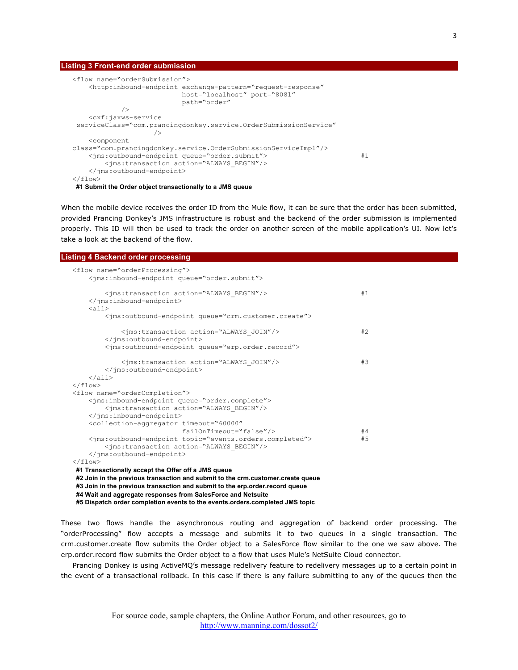#### **Listing 3 Front-end order submission**

```
<flow name="orderSubmission">
     <http:inbound-endpoint exchange-pattern="request-response"
                           host="localhost" port="8081"
                           path="order"
            />
     <cxf:jaxws-service
 serviceClass="com.prancingdonkey.service.OrderSubmissionService"
 />
     <component
class="com.prancingdonkey.service.OrderSubmissionServiceImpl"/>
     <jms:outbound-endpoint queue="order.submit"> #1
        <jms:transaction action="ALWAYS_BEGIN"/>
     </jms:outbound-endpoint>
\langle/flow>
#1 Submit the Order object transactionally to a JMS queue
```
When the mobile device receives the order ID from the Mule flow, it can be sure that the order has been submitted, provided Prancing Donkey's JMS infrastructure is robust and the backend of the order submission is implemented properly. This ID will then be used to track the order on another screen of the mobile application's UI. Now let's take a look at the backend of the flow.

### **Listing 4 Backend order processing**

| <flow name="orderProcessing"><br/><ims:inbound-endpoint queue="order.submit"></ims:inbound-endpoint></flow>                                        |    |
|----------------------------------------------------------------------------------------------------------------------------------------------------|----|
| <jms:transaction action="ALWAYS BEGIN"></jms:transaction><br><br>$\langle \text{all} \rangle$                                                      | #1 |
| <jms:outbound-endpoint queue="crm.customer.create"></jms:outbound-endpoint>                                                                        |    |
| <jms:transaction action="ALWAYS JOIN"></jms:transaction><br><br><jms:outbound-endpoint queue="erp.order.record"></jms:outbound-endpoint>           | #2 |
| <jms:transaction action="ALWAYS JOIN"></jms:transaction><br><br>$\langle$ all $\rangle$                                                            | #3 |
| $\langle$ /flow><br><flow name="orderCompletion"></flow>                                                                                           |    |
| <jms:inbound-endpoint queue="order.complete"><br/><jms:transaction action="ALWAYS BEGIN"></jms:transaction><br/></jms:inbound-endpoint>            |    |
| <collection-aggregator <br="" timeout="60000">failOnTimeout="false"/&gt;</collection-aggregator>                                                   | #4 |
| <jms:outbound-endpoint topic="events.orders.completed"><br/><jms:transaction action="ALWAYS BEGIN"></jms:transaction><br/></jms:outbound-endpoint> | #5 |
| $\langle$ /flow>                                                                                                                                   |    |
| #1 Transactionally accept the Offer off a JMS queue                                                                                                |    |
| #2 Join in the previous transaction and submit to the crm.customer.create queue                                                                    |    |
| #3 Join in the previous transaction and submit to the erp.order.record queue<br>#4 Wait and aggregate responses from SalesForce and Netsuite       |    |

**#5 Dispatch order completion events to the events.orders.completed JMS topic**

These two flows handle the asynchronous routing and aggregation of backend order processing. The "orderProcessing" flow accepts a message and submits it to two queues in a single transaction. The crm.customer.create flow submits the Order object to a SalesForce flow similar to the one we saw above. The erp.order.record flow submits the Order object to a flow that uses Mule's NetSuite Cloud connector.

Prancing Donkey is using ActiveMQ's message redelivery feature to redelivery messages up to a certain point in the event of a transactional rollback. In this case if there is any failure submitting to any of the queues then the

3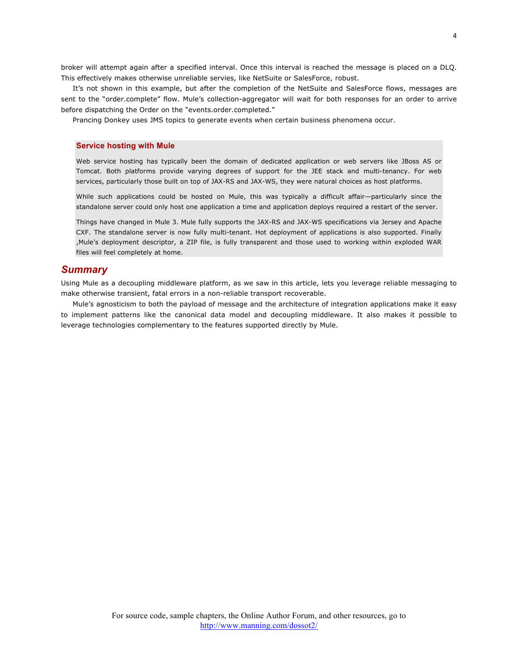broker will attempt again after a specified interval. Once this interval is reached the message is placed on a DLQ. This effectively makes otherwise unreliable servies, like NetSuite or SalesForce, robust.

It's not shown in this example, but after the completion of the NetSuite and SalesForce flows, messages are sent to the "order.complete" flow. Mule's collection-aggregator will wait for both responses for an order to arrive before dispatching the Order on the "events.order.completed."

Prancing Donkey uses JMS topics to generate events when certain business phenomena occur.

#### **Service hosting with Mule**

Web service hosting has typically been the domain of dedicated application or web servers like JBoss AS or Tomcat. Both platforms provide varying degrees of support for the JEE stack and multi-tenancy. For web services, particularly those built on top of JAX-RS and JAX-WS, they were natural choices as host platforms.

While such applications could be hosted on Mule, this was typically a difficult affair—particularly since the standalone server could only host one application a time and application deploys required a restart of the server.

Things have changed in Mule 3. Mule fully supports the JAX-RS and JAX-WS specifications via Jersey and Apache CXF. The standalone server is now fully multi-tenant. Hot deployment of applications is also supported. Finally ,Mule's deployment descriptor, a ZIP file, is fully transparent and those used to working within exploded WAR files will feel completely at home.

## *Summary*

Using Mule as a decoupling middleware platform, as we saw in this article, lets you leverage reliable messaging to make otherwise transient, fatal errors in a non-reliable transport recoverable.

Mule's agnosticism to both the payload of message and the architecture of integration applications make it easy to implement patterns like the canonical data model and decoupling middleware. It also makes it possible to leverage technologies complementary to the features supported directly by Mule.